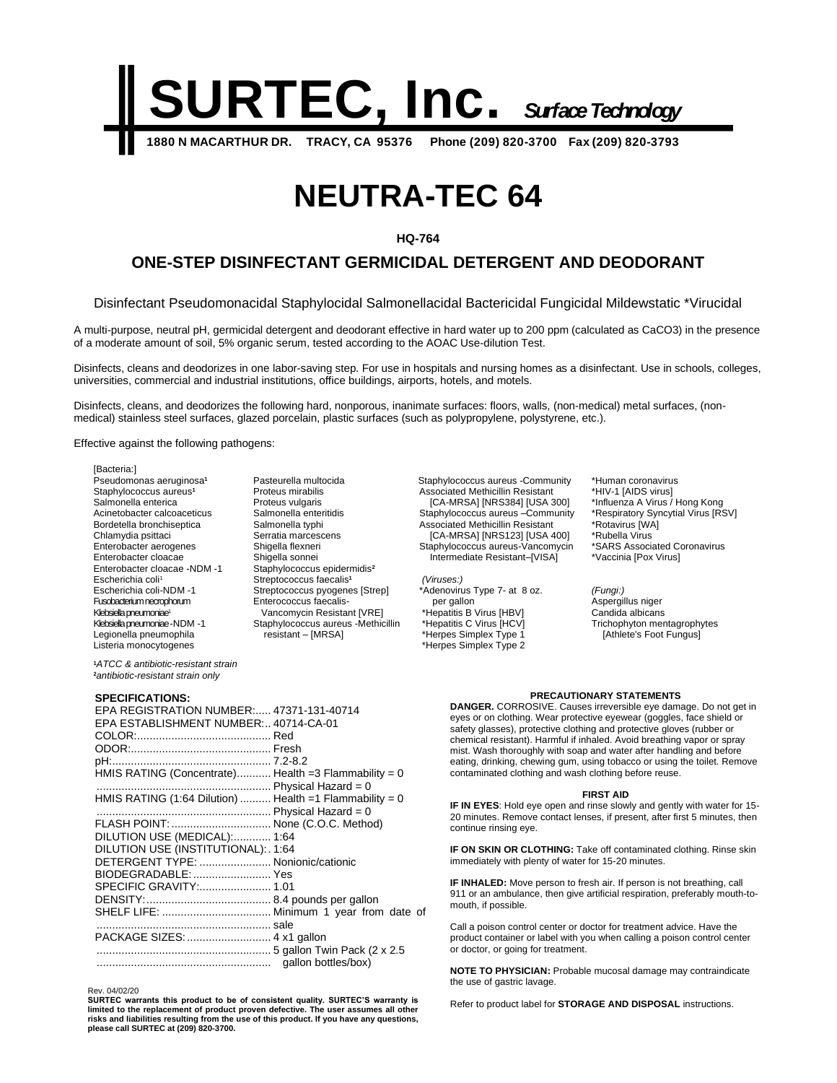

# **NEUTRA-TEC 64**

## **HQ-764**

# **ONE-STEP DISINFECTANT GERMICIDAL DETERGENT AND DEODORANT**

Disinfectant Pseudomonacidal Staphylocidal Salmonellacidal Bactericidal Fungicidal Mildewstatic \*Virucidal

A multi-purpose, neutral pH, germicidal detergent and deodorant effective in hard water up to 200 ppm (calculated as CaCO3) in the presence of a moderate amount of soil, 5% organic serum, tested according to the AOAC Use-dilution Test.

Disinfects, cleans and deodorizes in one labor-saving step. For use in hospitals and nursing homes as a disinfectant. Use in schools, colleges, universities, commercial and industrial institutions, office buildings, airports, hotels, and motels.

Disinfects, cleans, and deodorizes the following hard, nonporous, inanimate surfaces: floors, walls, (non-medical) metal surfaces, (nonmedical) stainless steel surfaces, glazed porcelain, plastic surfaces (such as polypropylene, polystyrene, etc.).

Effective against the following pathogens:

[Bacteria:] Pseudomonas aeruginosa**<sup>1</sup>** Staphylococcus aureus**<sup>1</sup>** Salmonella enterica Acinetobacter calcoaceticus Bordetella bronchiseptica Chlamydia psittaci Enterobacter aerogenes Enterobacter cloacae Enterobacter cloacae -NDM -1 Escherichia coli<sup>1</sup> Escherichia coli-NDM -1 Fusobacterium necrophorum Klebsiella pneumoniae<sup>1</sup> Klebsiella pneumoniae -NDM -1 Legionella pneumophila Listeria monocytogenes

Pasteurella multocida Proteus mirabilis Proteus vulgaris Salmonella enteritidis Salmonella typhi Serratia marcescens Shigella flexneri Shigella sonnei Staphylococcus epidermidis**<sup>2</sup>** Streptococcus faecalis **1** Streptococcus pyogenes [Strep] Enterococcus faecalis- Vancomycin Resistant [VRE] Staphylococcus aureus -Methicillin resistant – [MRSA]

Staphylococcus aureus -Community Associated Methicillin Resistant [CA-MRSA] [NRS384] [USA 300] Staphylococcus aureus –Community Associated Methicillin Resistant [CA-MRSA] [NRS123] [USA 400] Staphylococcus aureus-Vancomycin Intermediate Resistant–[VISA]

*(Viruses:)* \*Adenovirus Type 7- at 8 oz. per gallon \*Hepatitis B Virus [HBV] \*Hepatitis C Virus [HCV] \*Herpes Simplex Type 1 \*Herpes Simplex Type 2

\*Human coronavirus \*HIV-1 [AIDS virus] \*Influenza A Virus / Hong Kong \*Respiratory Syncytial Virus [RSV] \*Rotavirus [WA] \*Rubella Virus \*SARS Associated Coronavirus \*Vaccinia [Pox Virus]

*(Fungi:)* Aspergillus niger Candida albicans Trichophyton mentagrophytes [Athlete's Foot Fungus]

### **PRECAUTIONARY STATEMENTS**

**DANGER.** CORROSIVE. Causes irreversible eye damage. Do not get in eyes or on clothing. Wear protective eyewear (goggles, face shield or safety glasses), protective clothing and protective gloves (rubber or chemical resistant). Harmful if inhaled. Avoid breathing vapor or spray mist. Wash thoroughly with soap and water after handling and before eating, drinking, chewing gum, using tobacco or using the toilet. Remove contaminated clothing and wash clothing before reuse.

#### **FIRST AID**

**IF IN EYES**: Hold eye open and rinse slowly and gently with water for 15- 20 minutes. Remove contact lenses, if present, after first 5 minutes, then continue rinsing eye.

**IF ON SKIN OR CLOTHING:** Take off contaminated clothing. Rinse skin immediately with plenty of water for 15-20 minutes.

**IF INHALED:** Move person to fresh air. If person is not breathing, call 911 or an ambulance, then give artificial respiration, preferably mouth-tomouth, if possible.

Call a poison control center or doctor for treatment advice. Have the product container or label with you when calling a poison control center or doctor, or going for treatment.

**NOTE TO PHYSICIAN:** Probable mucosal damage may contraindicate the use of gastric lavage.

Refer to product label for **STORAGE AND DISPOSAL** instructions.

**<sup>1</sup>***ATCC & antibiotic-resistant strain* **<sup>2</sup>***antibiotic-resistant strain only*

### **SPECIFICATIONS:**

| EPA REGISTRATION NUMBER: 47371-131-40714<br>EPA ESTABLISHMENT NUMBER: 40714-CA-01 |  |
|-----------------------------------------------------------------------------------|--|
|                                                                                   |  |
|                                                                                   |  |
| HMIS RATING (Concentrate) Health =3 Flammability = 0                              |  |
|                                                                                   |  |
| HMIS RATING $(1:64$ Dilution)  Health =1 Flammability = 0                         |  |
|                                                                                   |  |
| FLASH POINT:  None (C.O.C. Method)                                                |  |
| DILUTION USE (MEDICAL): 1:64                                                      |  |
| DILUTION USE (INSTITUTIONAL): . 1:64                                              |  |
| DETERGENT TYPE:  Nonionic/cationic                                                |  |
| BIODEGRADABLE:  Yes                                                               |  |
|                                                                                   |  |
|                                                                                   |  |
|                                                                                   |  |
|                                                                                   |  |
| PACKAGE SIZES:  4 x1 gallon                                                       |  |
|                                                                                   |  |
|                                                                                   |  |
|                                                                                   |  |

Rev. 04/02/20

**SURTEC warrants this product to be of consistent quality. SURTEC'S warranty is limited to the replacement of product proven defective. The user assumes all other risks and liabilities resulting from the use of this product. If you have any questions, please call SURTEC at (209) 820-3700.**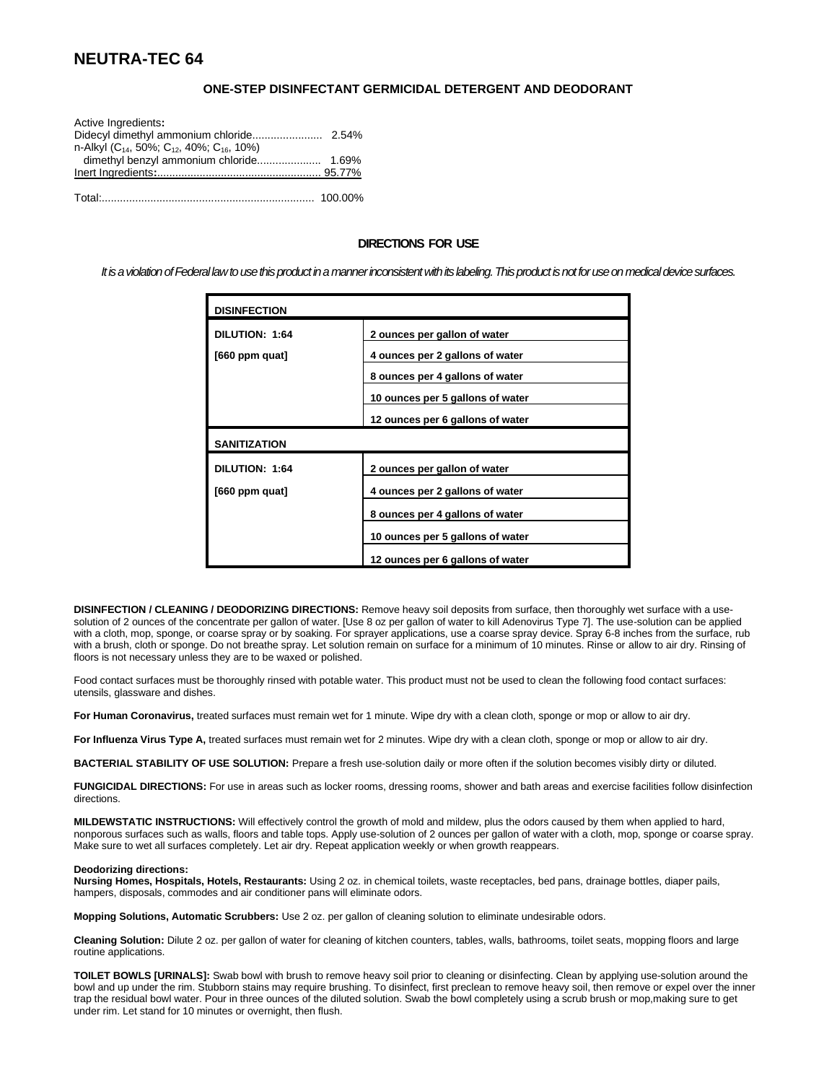# **NEUTRA-TEC 64**

# **ONE-STEP DISINFECTANT GERMICIDAL DETERGENT AND DEODORANT**

| Active Ingredients:                                                           |  |
|-------------------------------------------------------------------------------|--|
|                                                                               |  |
| n-Alkyl (C <sub>14</sub> , 50%; C <sub>12</sub> , 40%; C <sub>16</sub> , 10%) |  |
|                                                                               |  |
|                                                                               |  |
|                                                                               |  |
|                                                                               |  |

## **DIRECTIONS FOR USE**

*It is a violation of Federal law to use this product in a manner inconsistent with its labeling.This product is notfor use on medical device surfaces.*

| <b>DISINFECTION</b> |                                  |
|---------------------|----------------------------------|
| DILUTION: 1:64      | 2 ounces per gallon of water     |
| [660 ppm quat]      | 4 ounces per 2 gallons of water  |
|                     | 8 ounces per 4 gallons of water  |
|                     | 10 ounces per 5 gallons of water |
|                     | 12 ounces per 6 gallons of water |
| <b>SANITIZATION</b> |                                  |
| DILUTION: 1:64      | 2 ounces per gallon of water     |
| [660 ppm quat]      | 4 ounces per 2 gallons of water  |
|                     | 8 ounces per 4 gallons of water  |
|                     | 10 ounces per 5 gallons of water |
|                     | 12 ounces per 6 gallons of water |

**DISINFECTION / CLEANING / DEODORIZING DIRECTIONS:** Remove heavy soil deposits from surface, then thoroughly wet surface with a usesolution of 2 ounces of the concentrate per gallon of water. [Use 8 oz per gallon of water to kill Adenovirus Type 7]. The use-solution can be applied with a cloth, mop, sponge, or coarse spray or by soaking. For sprayer applications, use a coarse spray device. Spray 6-8 inches from the surface, rub with a brush, cloth or sponge. Do not breathe spray. Let solution remain on surface for a minimum of 10 minutes. Rinse or allow to air dry. Rinsing of floors is not necessary unless they are to be waxed or polished.

Food contact surfaces must be thoroughly rinsed with potable water. This product must not be used to clean the following food contact surfaces: utensils, glassware and dishes.

**For Human Coronavirus,** treated surfaces must remain wet for 1 minute. Wipe dry with a clean cloth, sponge or mop or allow to air dry.

**For Influenza Virus Type A,** treated surfaces must remain wet for 2 minutes. Wipe dry with a clean cloth, sponge or mop or allow to air dry.

**BACTERIAL STABILITY OF USE SOLUTION:** Prepare a fresh use-solution daily or more often if the solution becomes visibly dirty or diluted.

**FUNGICIDAL DIRECTIONS:** For use in areas such as locker rooms, dressing rooms, shower and bath areas and exercise facilities follow disinfection directions.

**MILDEWSTATIC INSTRUCTIONS:** Will effectively control the growth of mold and mildew, plus the odors caused by them when applied to hard, nonporous surfaces such as walls, floors and table tops. Apply use-solution of 2 ounces per gallon of water with a cloth, mop, sponge or coarse spray. Make sure to wet all surfaces completely. Let air dry. Repeat application weekly or when growth reappears.

#### **Deodorizing directions:**

**Nursing Homes, Hospitals, Hotels, Restaurants:** Using 2 oz. in chemical toilets, waste receptacles, bed pans, drainage bottles, diaper pails, hampers, disposals, commodes and air conditioner pans will eliminate odors.

**Mopping Solutions, Automatic Scrubbers:** Use 2 oz. per gallon of cleaning solution to eliminate undesirable odors.

**Cleaning Solution:** Dilute 2 oz. per gallon of water for cleaning of kitchen counters, tables, walls, bathrooms, toilet seats, mopping floors and large routine applications.

**TOILET BOWLS [URINALS]:** Swab bowl with brush to remove heavy soil prior to cleaning or disinfecting. Clean by applying use-solution around the bowl and up under the rim. Stubborn stains may require brushing. To disinfect, first preclean to remove heavy soil, then remove or expel over the inner trap the residual bowl water. Pour in three ounces of the diluted solution. Swab the bowl completely using a scrub brush or mop,making sure to get under rim. Let stand for 10 minutes or overnight, then flush.